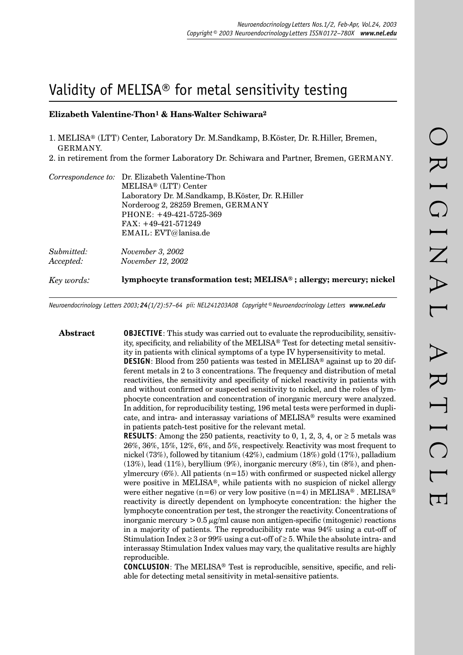# Validity of MELISA® for metal sensitivity testing

## **Elizabeth Valentine-Thon1 & Hans-Walter Schiwara2**

- 1. MELISA® (LTT) Center, Laboratory Dr. M.Sandkamp, B.Köster, Dr. R.Hiller, Bremen, GERMANY.
- 2. in retirement from the former Laboratory Dr. Schiwara and Partner, Bremen, GERMANY.

| Key words:              | lymphocyte transformation test; MELISA®; allergy; mercury; nickel                                                |
|-------------------------|------------------------------------------------------------------------------------------------------------------|
| Submitted:<br>Accepted: | November 3, 2002<br><i>November 12, 2002</i>                                                                     |
|                         | Norderoog 2, 28259 Bremen, GERMANY<br>$PHONE: +49-421-5725-369$<br>$FAX: +49-421-571249$<br>EMAIL: EVT@lanisa.de |
|                         | MELISA <sup>®</sup> (LTT) Center<br>Laboratory Dr. M.Sandkamp, B.Köster, Dr. R.Hiller                            |
|                         | Correspondence to: Dr. Elizabeth Valentine-Thon                                                                  |

*Neuroendocrinology Letters 2003; 24(1/2):57–64 pii: NEL241203A08 Copyright © Neuroendocrinology Letters www.nel.edu*

**Abstract OBJECTIVE**: This study was carried out to evaluate the reproducibility, sensitivity, specificity, and reliability of the MELISA<sup>®</sup> Test for detecting metal sensitivity in patients with clinical symptoms of a type IV hypersensitivity to metal. **DESIGN**: Blood from 250 patients was tested in MELISA® against up to 20 different metals in 2 to 3 concentrations. The frequency and distribution of metal reactivities, the sensitivity and specificity of nickel reactivity in patients with and without confirmed or suspected sensitivity to nickel, and the roles of lymphocyte concentration and concentration of inorganic mercury were analyzed. In addition, for reproducibility testing, 196 metal tests were performed in duplicate, and intra- and interassay variations of MELISA® results were examined in patients patch-test positive for the relevant metal. **RESULTS**: Among the 250 patients, reactivity to 0, 1, 2, 3, 4, or  $\geq$  5 metals was 26%, 36%, 15%, 12%, 6%, and 5%, respectively. Reactivity was most frequent to nickel (73%), followed by titanium (42%), cadmium (18%) gold (17%), palladium

 $(13\%)$ , lead  $(11\%)$ , beryllium  $(9\%)$ , inorganic mercury  $(8\%)$ , tin  $(8\%)$ , and phenylmercury  $(6\%)$ . All patients  $(n=15)$  with confirmed or suspected nickel allergy were positive in MELISA®, while patients with no suspicion of nickel allergy were either negative (n=6) or very low positive (n=4) in MELISA<sup>®</sup>. MELISA<sup>®</sup> reactivity is directly dependent on lymphocyte concentration: the higher the lymphocyte concentration per test, the stronger the reactivity. Concentrations of inorganic mercury  $> 0.5 \mu g/ml$  cause non antigen-specific (mitogenic) reactions in a majority of patients. The reproducibility rate was 94% using a cut-off of Stimulation Index  $\geq 3$  or 99% using a cut-off of  $\geq 5$ . While the absolute intra- and interassay Stimulation Index values may vary, the qualitative results are highly reproducible.

**CONCLUSION:** The MELISA<sup>®</sup> Test is reproducible, sensitive, specific, and reliable for detecting metal sensitivity in metal-sensitive patients.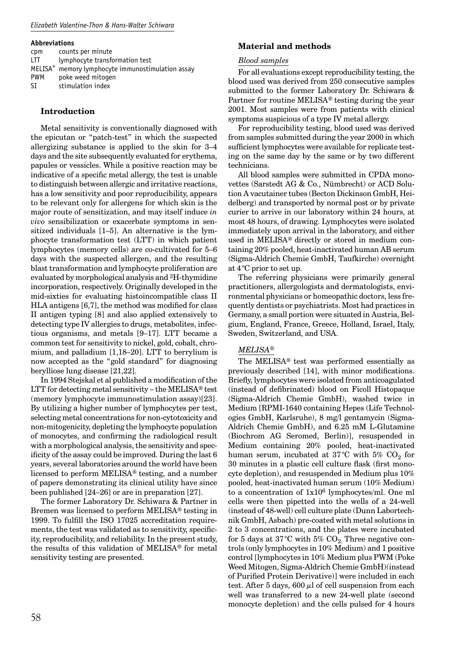#### **Abbreviations**

| cpm        | counts per minute                         |
|------------|-------------------------------------------|
| <b>ITT</b> | lymphocyte transformation test            |
| $MELISA^*$ | memory lymphocyte immunostimulation assay |
| <b>PWM</b> | poke weed mitogen                         |
| SI         | stimulation index                         |

#### **Introduction**

Metal sensitivity is conventionally diagnosed with the epicutan or "patch-test" in which the suspected allergizing substance is applied to the skin for 3–4 days and the site subsequently evaluated for erythema, papules or vessicles. While a positive reaction may be indicative of a specific metal allergy, the test is unable to distinguish between allergic and irritative reactions, has a low sensitivity and poor reproducibility, appears to be relevant only for allergens for which skin is the major route of sensitization, and may itself induce *in vivo* sensibilization or exacerbate symptoms in sensitized individuals [1–5]. An alternative is the lymphocyte transformation test (LTT) in which patient lymphocytes (memory cells) are co-cultivated for 5–6 days with the suspected allergen, and the resulting blast transformation and lymphocyte proliferation are evaluated by morphological analysis and 3H-thymidine incorporation, respectively. Originally developed in the mid-sixties for evaluating histoincompatible class II HLA antigens  $[6,7]$ , the method was modified for class II antigen typing [8] and also applied extensively to detecting type IV allergies to drugs, metabolites, infectious organisms, and metals [9–17]. LTT became a common test for sensitivity to nickel, gold, cobalt, chromium, and palladium [1,18–20]. LTT to berrylium is now accepted as the "gold standard" for diagnosing berylliose lung disease [21,22].

In 1994 Stejskal et al published a modification of the LTT for detecting metal sensitivity – the MELISA® test (memory lymphocyte immunostimulation assay)[23]. By utilizing a higher number of lymphocytes per test, selecting metal concentrations for non-cytotoxicity and non-mitogenicity, depleting the lymphocyte population of monocytes, and confirming the radiological result with a morphological analysis, the sensitivity and specificity of the assay could be improved. During the last  $6$ years, several laboratories around the world have been licensed to perform MELISA® testing, and a number of papers demonstrating its clinical utility have since been published [24–26] or are in preparation [27].

The former Laboratory Dr. Schiwara & Partner in Bremen was licensed to perform MELISA® testing in 1999. To fulfill the ISO 17025 accreditation requirements, the test was validated as to sensitivity, specificity, reproducibility, and reliability. In the present study, the results of this validation of MELISA® for metal sensitivity testing are presented.

### **Material and methods**

#### *Blood samples*

For all evaluations except reproducibility testing, the blood used was derived from 250 consecutive samples submitted to the former Laboratory Dr. Schiwara & Partner for routine MELISA® testing during the year 2001. Most samples were from patients with clinical symptoms suspicious of a type IV metal allergy.

For reproducibility testing, blood used was derived from samples submitted during the year 2000 in which sufficient lymphocytes were available for replicate testing on the same day by the same or by two different technicians.

All blood samples were submitted in CPDA monovettes (Sarstedt AG & Co., Nümbrecht) or ACD Solution A vacutainer tubes (Becton Dickinson GmbH, Heidelberg) and transported by normal post or by private curier to arrive in our laboratory within 24 hours, at most 48 hours, of drawing. Lymphocytes were isolated immediately upon arrival in the laboratory, and either used in MELISA® directly or stored in medium containing 20% pooled, heat-inactivated human AB serum (Sigma-Aldrich Chemie GmbH, Taufkirche) overnight at 4 °C prior to set up.

The referring physicians were primarily general practitioners, allergologists and dermatologists, environmental physicians or homeopathic doctors, less frequently dentists or psychiatrists. Most had practices in Germany, a small portion were situated in Austria, Belgium, England, France, Greece, Holland, Israel, Italy, Sweden, Switzerland, and USA.

#### *MELISA®*

The MELISA® test was performed essentially as previously described [14], with minor modifications. Briefly, lymphocytes were isolated from anticoagulated (instead of defibrinated) blood on Ficoll Histopaque (Sigma-Aldrich Chemie GmbH), washed twice in Medium [RPMI-1640 containing Hepes (Life Technologies GmbH, Karlsruhe), 8 mg/l gentamycin (Sigma-Aldrich Chemie GmbH), and 6.25 mM L-Glutamine (Biochrom AG Seromed, Berlin)], resuspended in Medium containing 20% pooled, heat-inactivated human serum, incubated at 37°C with 5%  $CO<sub>2</sub>$  for 30 minutes in a plastic cell culture flask (first monocyte depletion), and resuspended in Medium plus 10% pooled, heat-inactivated human serum (10% Medium) to a concentration of 1x106 lymphocytes/ml. One ml cells were then pipetted into the wells of a 24-well (instead of 48-well) cell culture plate (Dunn Labortechnik GmbH, Asbach) pre-coated with metal solutions in 2 to 3 concentrations, and the plates were incubated for 5 days at 37 °C with 5%  $CO_2$ . Three negative controls (only lymphocytes in 10% Medium) and 1 positive control [lymphocytes in 10% Medium plus PWM (Poke Weed Mitogen, Sigma-Aldrich Chemie GmbH)(instead of Purified Protein Derivative)] were included in each test. After 5 days,  $600 \mu l$  of cell suspension from each well was transferred to a new 24-well plate (second monocyte depletion) and the cells pulsed for 4 hours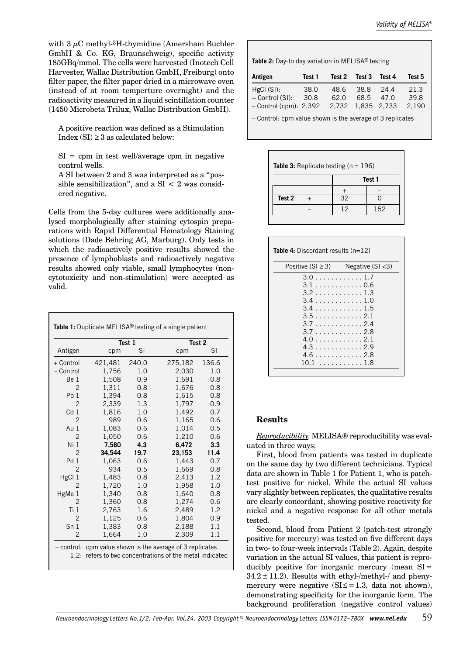with  $3 \mu C$  methyl- $3H$ -thymidine (Amersham Buchler GmbH & Co. KG, Braunschweig), specific activity 185GBq/mmol. The cells were harvested (Inotech Cell Harvester, Wallac Distribution GmbH, Freiburg) onto filter paper, the filter paper dried in a microwave oven (instead of at room temperture overnight) and the radioactivity measured in a liquid scintillation counter (1450 Microbeta Trilux, Wallac Distribution GmbH).

A positive reaction was defined as a Stimulation Index  $(SI) \geq 3$  as calculated below:

 $SI =$  cpm in test well/average cpm in negative control wells.

A SI between 2 and 3 was interpreted as a "possible sensibilization", and a  $SI < 2$  was considered negative.

Cells from the 5-day cultures were additionally analysed morphologically after staining cytospin preparations with Rapid Differential Hematology Staining solutions (Dade Behring AG, Marburg). Only tests in which the radioactively positive results showed the presence of lymphoblasts and radioactively negative results showed only viable, small lymphocytes (noncytotoxicity and non-stimulation) were accepted as valid.

|                 |         | Test 1 | Test 2  |       |
|-----------------|---------|--------|---------|-------|
| Antigen         | cpm     | SI     | cpm     | SI    |
| + Control       | 421,481 | 240.0  | 275,182 | 136.6 |
| - Control       | 1,756   | 1.0    | 2,030   | 1.0   |
| Be 1            | 1,508   | 0.9    | 1,691   | 0.8   |
| $\overline{2}$  | 1,311   | 0.8    | 1,676   | 0.8   |
| Pb <sub>1</sub> | 1,394   | 0.8    | 1,615   | 0.8   |
| $\overline{2}$  | 2,339   | 1.3    | 1,797   | 0.9   |
| Cd <sub>1</sub> | 1,816   | 1.0    | 1,492   | 0.7   |
| $\mathcal{P}$   | 989     | 0.6    | 1,165   | 0.6   |
| Au 1            | 1,083   | 0.6    | 1,014   | 0.5   |
| $\overline{2}$  | 1,050   | 0.6    | 1,210   | 0.6   |
| Ni <sub>1</sub> | 7,580   | 4.3    | 6,472   | 3.3   |
| $\overline{2}$  | 34,544  | 19.7   | 23,153  | 11.4  |
| Pd <sub>1</sub> | 1,063   | 0.6    | 1,443   | 0.7   |
| $\overline{2}$  | 934     | 0.5    | 1,669   | 0.8   |
| HgCl 1          | 1,483   | 0.8    | 2,413   | 1.2   |
| 2               | 1,720   | 1.0    | 1,958   | 1.0   |
| HgMe 1          | 1,340   | 0.8    | 1.640   | 0.8   |
| 2               | 1,360   | 0.8    | 1,274   | 0.6   |
| Ti <sub>1</sub> | 2,763   | 1.6    | 2,489   | 1.2   |
| $\overline{2}$  | 1,125   | 0.6    | 1,804   | 0.9   |
| Sn <sub>1</sub> | 1,383   | 0.8    | 2,188   | 1.1   |
| 2               | 1,664   | 1.0    | 2,309   | 1.1   |

| Table 2: Day-to day variation in MELISA® testing |  |
|--------------------------------------------------|--|
|--------------------------------------------------|--|

| Antigen                                                   | Test 1 | Test 2 | Test 3      | Test 4 | Test 5 |
|-----------------------------------------------------------|--------|--------|-------------|--------|--------|
| HgCl(SI):                                                 | 38.0   | 48.6   | 38.8        | 24.4   | 21.3   |
| + Control (SI):                                           | 30.8   | 62.0   | 68.5        | 47.0   | 39.8   |
| $-$ Control (cpm): 2,392                                  |        | 2.732  | 1,835 2,733 |        | 2,190  |
| - Control: cpm value shown is the average of 3 replicates |        |        |             |        |        |

| <b>Table 3:</b> Replicate testing ( $n = 196$ ) |  |        |     |  |  |  |
|-------------------------------------------------|--|--------|-----|--|--|--|
|                                                 |  | Test 1 |     |  |  |  |
|                                                 |  |        |     |  |  |  |
| Test 2                                          |  | 32     |     |  |  |  |
|                                                 |  | 12     | 152 |  |  |  |
|                                                 |  |        |     |  |  |  |

| <b>Table 4:</b> Discordant results $(n=12)$                                                                                       |                     |
|-----------------------------------------------------------------------------------------------------------------------------------|---------------------|
| Positive (SI $\geq$ 3)                                                                                                            | Negative $(SI < 3)$ |
| 3.0 1.7<br>3.1 0.6<br>3.2 1.3<br>3.4 1.0<br>3.4 1.5<br>3.5 2.1<br>3.7 2.4<br>3.7 2.8<br>4.0 2.1<br>4.3 2.9<br>4.6 2.8<br>10.1 1.8 |                     |

## **Results**

*Reproducibility.* MELISA® reproducibility was evaluated in three ways:

First, blood from patients was tested in duplicate on the same day by two different technicians. Typical data are shown in Table 1 for Patient 1, who is patchtest positive for nickel. While the actual SI values vary slightly between replicates, the qualitative results are clearly concordant, showing positive reactivity for nickel and a negative response for all other metals tested.

Second, blood from Patient 2 (patch-test strongly positive for mercury) was tested on five different days in two- to four-week intervals (Table 2). Again, despite variation in the actual SI values, this patient is reproducibly positive for inorganic mercury (mean  $SI =$  $34.2 \pm 11.2$ ). Results with ethyl-/methyl-/ and phenymercury were negative  $(SI \leq = 1.3$ , data not shown). demonstrating specificity for the inorganic form. The background proliferation (negative control values)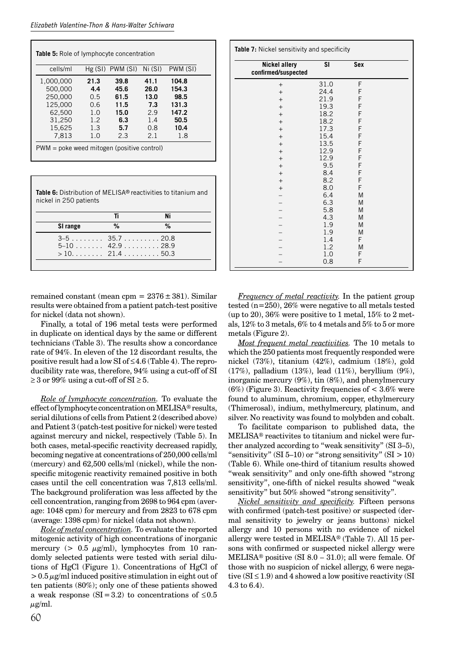| Table 5: Role of lymphocyte concentration  |      |                     |         |          |  |
|--------------------------------------------|------|---------------------|---------|----------|--|
| cells/ml                                   |      | $Hg(SI)$ PWM $(SI)$ | Ni (SI) | PWM (SI) |  |
| 1,000,000                                  | 21.3 | 39.8                | 41.1    | 104.8    |  |
| 500,000                                    | 4.4  | 45.6                | 26.0    | 154.3    |  |
| 250,000                                    | 0.5  | 61.5                | 13.0    | 98.5     |  |
| 125,000                                    | 0.6  | 11.5                | 7.3     | 131.3    |  |
| 62,500                                     | 1.0  | 15.0                | 2.9     | 147.2    |  |
| 31,250                                     | 1.2  | 6.3                 | 1.4     | 50.5     |  |
| 15,625                                     | 1.3  | 5.7                 | 0.8     | 10.4     |  |
| 7,813                                      | 1.0  | 2.3                 | 2.1     | 1.8      |  |
| PWM = poke weed mitogen (positive control) |      |                     |         |          |  |

**Table 6:** Distribution of MELISA® reactivities to titanium and nickel in 250 patients

|                   | Τi | Ni |
|-------------------|----|----|
| SI range          | %  | %  |
| $3-5$ $35.7$ 20.8 |    |    |
| $5-10$ 42.9 28.9  |    |    |
| $>10$ 21.4 50.3   |    |    |

remained constant (mean cpm =  $2376 \pm 381$ ). Similar results were obtained from a patient patch-test positive for nickel (data not shown).

Finally, a total of 196 metal tests were performed in duplicate on identical days by the same or different technicians (Table 3). The results show a concordance rate of 94%. In eleven of the 12 discordant results, the positive result had a low SI of ≤ 4.6 (Table 4). The reproducibility rate was, therefore, 94% using a cut-off of SI  $\geq$  3 or 99% using a cut-off of SI  $\geq$  5.

*Role of lymphocyte concentration.* To evaluate the effect of lymphocyte concentration on MELISA®results, serial dilutions of cells from Patient 2 (described above) and Patient 3 (patch-test positive for nickel) were tested against mercury and nickel, respectively (Table 5). In both cases, metal-specific reactivity decreased rapidly, becoming negative at concentrations of 250,000 cells/ml (mercury) and 62,500 cells/ml (nickel), while the nonspecific mitogenic reactivity remained positive in both cases until the cell concentration was 7,813 cells/ml. The background proliferation was less affected by the cell concentration, ranging from 2698 to 964 cpm (average: 1048 cpm) for mercury and from 2823 to 678 cpm (average: 1398 cpm) for nickel (data not shown).

*Role of metal concentration.* To evaluate the reported mitogenic activity of high concentrations of inorganic mercury ( $> 0.5 \mu g/ml$ ), lymphocytes from 10 randomly selected patients were tested with serial dilutions of HgCl (Figure 1). Concentrations of HgCl of  $> 0.5 \mu$ g/ml induced positive stimulation in eight out of ten patients (80%); only one of these patients showed a weak response  $(SI = 3.2)$  to concentrations of  $\leq 0.5$  $\mu$ g/ml.

| Table 7: Nickel sensitivity and specificity |           |     |  |  |
|---------------------------------------------|-----------|-----|--|--|
| <b>Nickel allery</b><br>confirmed/suspected | <b>SI</b> | Sex |  |  |
| $+$                                         | 31.0      | F   |  |  |
| $+$                                         | 24.4      | F   |  |  |
| $+$                                         | 21.9      | F   |  |  |
| $+$                                         | 19.3      | F   |  |  |
| $+$                                         | 18.2      | F   |  |  |
| $+$                                         | 18.2      | F   |  |  |
| $+$                                         | 17.3      | F   |  |  |
| $+$                                         | 15.4      | F   |  |  |
| $+$                                         | 13.5      | F   |  |  |
| $+$                                         | 12.9      | F   |  |  |
| $+$                                         | 12.9      | F   |  |  |
| $+$                                         | 9.5       | F   |  |  |
| $+$                                         | 8.4       | F   |  |  |
| $\! +$                                      | 8.2       | F   |  |  |
| $+$                                         | 8.0       | F   |  |  |
|                                             | 6.4       | M   |  |  |
|                                             | 6.3       | M   |  |  |
|                                             | 5.8       | M   |  |  |
|                                             | 4.3       | M   |  |  |
|                                             | 1.9       | M   |  |  |
|                                             | 1.9       | M   |  |  |
|                                             | 1.4       | F   |  |  |
|                                             | 1.2       | M   |  |  |
|                                             | 1.0       | F   |  |  |
|                                             | 0.8       | F   |  |  |

*Frequency of metal reactivity.* In the patient group tested (n=250), 26% were negative to all metals tested (up to 20),  $36\%$  were positive to 1 metal,  $15\%$  to 2 metals, 12% to 3 metals, 6% to 4 metals and 5% to 5 or more metals (Figure 2).

*Most frequent metal reactivities.* The 10 metals to which the 250 patients most frequently responded were nickel (73%), titanium (42%), cadmium (18%), gold (17%), palladium (13%), lead (11%), beryllium (9%), inorganic mercury (9%), tin (8%), and phenylmercury  $(6%)$  (Figure 3). Reactivity frequencies of  $\lt 3.6\%$  were found to aluminum, chromium, copper, ethylmercury (Thimerosal), indium, methylmercury, platinum, and silver. No reactivity was found to molybden and cobalt.

To facilitate comparison to published data, the MELISA® reactivites to titanium and nickel were further analyzed according to "weak sensitivity" (SI 3–5), "sensitivity"  $(SI 5-10)$  or "strong sensitivity"  $(SI > 10)$ (Table 6). While one-third of titanium results showed "weak sensitivity" and only one-fifth showed "strong" sensitivity", one-fifth of nickel results showed "weak sensitivity" but 50% showed "strong sensitivity".

*Nickel sensitivity and specificity.* Fifteen persons with confirmed (patch-test positive) or suspected (dermal sensitivity to jewelry or jeans buttons) nickel allergy and 10 persons with no evidence of nickel allergy were tested in MELISA® (Table 7). All 15 persons with confirmed or suspected nickel allergy were MELISA<sup>®</sup> positive (SI  $8.0 - 31.0$ ); all were female. Of those with no suspicion of nickel allergy, 6 were negative  $(SI \leq 1.9)$  and 4 showed a low positive reactivity  $(SI)$ 4.3 to 6.4).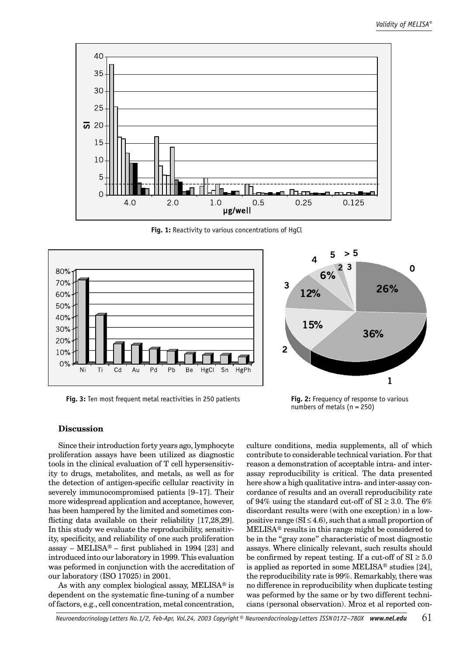

**Fig. 1:** Reactivity to various concentrations of HgCl



**Fig. 3:** Ten most frequent metal reactivities in 250 patients

**Fig. 2:** Frequency of response to various numbers of metals (n = 250)

#### **Discussion**

Since their introduction forty years ago, lymphocyte proliferation assays have been utilized as diagnostic tools in the clinical evaluation of T cell hypersensitivity to drugs, metabolites, and metals, as well as for the detection of antigen-specific cellular reactivity in severely immunocompromised patients [9–17]. Their more widespread application and acceptance, however, has been hampered by the limited and sometimes conflicting data available on their reliability  $[17,28,29]$ . In this study we evaluate the reproducibility, sensitivity, specificity, and reliability of one such proliferation assay – MELISA® – first published in 1994 [23] and introduced into our laboratory in 1999. This evaluation was peformed in conjunction with the accreditation of our laboratory (ISO 17025) in 2001.

As with any complex biological assay, MELISA® is dependent on the systematic fine-tuning of a number of factors, e.g., cell concentration, metal concentration,

culture conditions, media supplements, all of which contribute to considerable technical variation. For that reason a demonstration of acceptable intra- and interassay reproducibility is critical. The data presented here show a high qualitative intra- and inter-assay concordance of results and an overall reproducibility rate of 94% using the standard cut-off of  $SI \geq 3.0$ . The 6% discordant results were (with one exception) in a lowpositive range  $(SI \leq 4.6)$ , such that a small proportion of MELISA® results in this range might be considered to be in the "gray zone" characteristic of most diagnostic assays. Where clinically relevant, such results should be confirmed by repeat testing. If a cut-off of  $SI \geq 5.0$ is applied as reported in some MELISA® studies [24], the reproducibility rate is 99%. Remarkably, there was no difference in reproducibility when duplicate testing was peformed by the same or by two different technicians (personal observation). Mroz et al reported con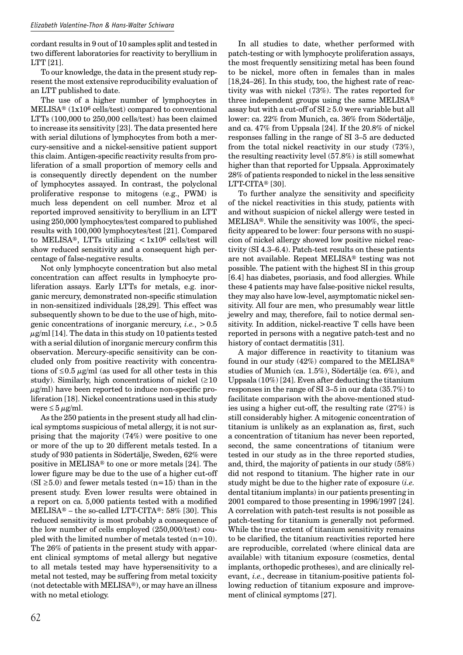cordant results in 9 out of 10 samples split and tested in two different laboratories for reactivity to beryllium in LTT [21].

To our knowledge, the data in the present study represent the most extensive reproducibility evaluation of an LTT published to date.

The use of a higher number of lymphocytes in MELISA® (1x106 cells/test) compared to conventional LTTs (100,000 to 250,000 cells/test) has been claimed to increase its sensitivity [23]. The data presented here with serial dilutions of lymphocytes from both a mercury-sensitive and a nickel-sensitive patient support this claim. Antigen-specific reactivity results from proliferation of a small proportion of memory cells and is consequently directly dependent on the number of lymphocytes assayed. In contrast, the polyclonal proliferative response to mitogens (e.g., PWM) is much less dependent on cell number. Mroz et al reported improved sensitivity to beryllium in an LTT using 250,000 lymphocytes/test compared to published results with 100,000 lymphocytes/test [21]. Compared to MELISA®, LTTs utilizing  $\langle 1x10^6 \text{ cells/test will} \rangle$ show reduced sensitivity and a consequent high percentage of false-negative results.

Not only lymphocyte concentration but also metal concentration can affect results in lymphocyte proliferation assays. Early LTTs for metals, e.g. inorganic mercury, demonstrated non-specific stimulation in non-sensitized individuals [28,29]. This effect was subsequently shown to be due to the use of high, mitogenic concentrations of inorganic mercury, *i.e.*, > 0.5  $\mu$ g/ml [14]. The data in this study on 10 patients tested with a serial dilution of inorganic mercury confirm this observation. Mercury-specific sensitivity can be concluded only from positive reactivity with concentrations of  $\leq 0.5 \mu$ g/ml (as used for all other tests in this study). Similarly, high concentrations of nickel  $(≥10$  $\mu$ g/ml) have been reported to induce non-specific proliferation [18]. Nickel concentrations used in this study were  $\leq 5 \mu$ g/ml.

As the 250 patients in the present study all had clinical symptoms suspicious of metal allergy, it is not surprising that the majority (74%) were positive to one or more of the up to 20 different metals tested. In a study of 930 patients in Södertälje, Sweden, 62% were positive in MELISA® to one or more metals [24]. The lower figure may be due to the use of a higher cut-off  $(SI \ge 5.0)$  and fewer metals tested  $(n=15)$  than in the present study. Even lower results were obtained in a report on ca. 5,000 patients tested with a modified MELISA® – the so-called LTT-CITA®: 58% [30]. This reduced sensitivity is most probably a consequence of the low number of cells employed (250,000/test) coupled with the limited number of metals tested  $(n=10)$ . The 26% of patients in the present study with apparent clinical symptoms of metal allergy but negative to all metals tested may have hypersensitivity to a metal not tested, may be suffering from metal toxicity (not detectable with MELISA®), or may have an illness with no metal etiology.

In all studies to date, whether performed with patch-testing or with lymphocyte proliferation assays, the most frequently sensitizing metal has been found to be nickel, more often in females than in males [18,24–26]. In this study, too, the highest rate of reactivity was with nickel (73%). The rates reported for three independent groups using the same MELISA® assay but with a cut-off of  $SI \geq 5.0$  were variable but all lower: ca. 22% from Munich, ca. 36% from Södertälje, and ca. 47% from Uppsala [24]. If the 20.8% of nickel responses falling in the range of SI 3–5 are deducted from the total nickel reactivity in our study (73%), the resulting reactivity level (57.8%) is still somewhat higher than that reported for Uppsala. Approximately 28% of patients responded to nickel in the less sensitive LTT-CITA® [30].

To further analyze the sensitivity and specificity of the nickel reactivities in this study, patients with and without suspicion of nickel allergy were tested in MELISA®. While the sensitivity was 100%, the specificity appeared to be lower: four persons with no suspicion of nickel allergy showed low positive nickel reactivity (SI 4.3–6.4). Patch-test results on these patients are not available. Repeat MELISA® testing was not possible. The patient with the highest SI in this group [6.4] has diabetes, psoriasis, and food allergies. While these 4 patients may have false-positive nickel results, they may also have low-level, asymptomatic nickel sensitivity. All four are men, who presumably wear little jewelry and may, therefore, fail to notice dermal sensitivity. In addition, nickel-reactive T cells have been reported in persons with a negative patch-test and no history of contact dermatitis [31].

A major difference in reactivity to titanium was found in our study  $(42%)$  compared to the MELISA® studies of Munich (ca. 1.5%), Södertälje (ca. 6%), and Uppsala (10%) [24]. Even after deducting the titanium responses in the range of SI 3–5 in our data (35.7%) to facilitate comparison with the above-mentioned studies using a higher cut-off, the resulting rate (27%) is still considerably higher. A mitogenic concentration of titanium is unlikely as an explanation as, first, such a concentration of titanium has never been reported, second, the same concentrations of titanium were tested in our study as in the three reported studies, and, third, the majority of patients in our study (58%) did not respond to titanium. The higher rate in our study might be due to the higher rate of exposure (*i.e.* dental titanium implants) in our patients presenting in 2001 compared to those presenting in 1996/1997 [24]. A correlation with patch-test results is not possible as patch-testing for titanium is generally not peformed. While the true extent of titanium sensitivity remains to be clarified, the titanium reactivities reported here are reproducible, correlated (where clinical data are available) with titanium exposure (cosmetics, dental implants, orthopedic protheses), and are clinically relevant, *i.e.*, decrease in titanium-positive patients following reduction of titanium exposure and improvement of clinical symptoms [27].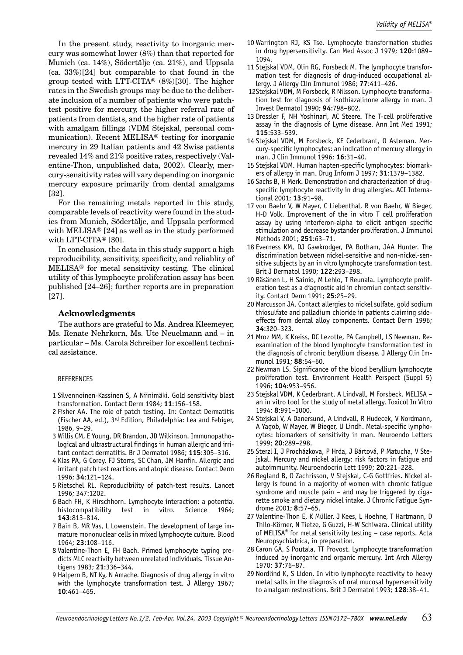In the present study, reactivity to inorganic mercury was somewhat lower (8%) than that reported for Munich (ca. 14%), Södertälje (ca. 21%), and Uppsala (ca. 33%) [24] but comparable to that found in the group tested with LTT-CITA®  $(8\%)$  [30]. The higher rates in the Swedish groups may be due to the deliberate inclusion of a number of patients who were patchtest positive for mercury, the higher referral rate of patients from dentists, and the higher rate of patients with amalgam fillings (VDM Stejskal, personal communication). Recent MELISA® testing for inorganic mercury in 29 Italian patients and 42 Swiss patients revealed 14% and 21% positive rates, respectively (Valentine-Thon, unpublished data, 2002). Clearly, mercury-sensitivity rates will vary depending on inorganic mercury exposure primarily from dental amalgams [32].

For the remaining metals reported in this study, comparable levels of reactivity were found in the studies from Munich, Södertälje, and Uppsala performed with MELISA® [24] as well as in the study performed with LTT-CITA® [30].

In conclusion, the data in this study support a high reproducibility, sensitivity, specificity, and reliablity of MELISA® for metal sensitivity testing. The clinical utility of this lymphocyte proliferation assay has been published [24–26]; further reports are in preparation [27].

#### **Acknowledgments**

The authors are grateful to Ms. Andrea Kleemeyer, Ms. Renate Nehrkorn, Ms. Ute Neuelmann and – in particular – Ms. Carola Schreiber for excellent technical assistance.

#### REFERENCES

- 1 Silvennoinen-Kassinen S, A Niinimäki. Gold sensitivity blast transformation. Contact Derm 1984; **11**:156–158.
- 2 Fisher AA. The role of patch testing. In: Contact Dermatitis (Fischer AA, ed.), 3rd Edition, Philadelphia: Lea and Febiger, 1986, 9–29.
- 3 Willis CM, E Young, DR Brandon, JD Wilkinson. Immunopathological and ultrastructural findings in human allergic and irritant contact dermatitis. Br J Dermatol 1986; **115**:305–316.
- 4 Klas PA, G Corey, FJ Storrs, SC Chan, JM Hanfin. Allergic and irritant patch test reactions and atopic disease. Contact Derm 1996; **34**:121–124.
- 5 Rietschel RL. Reproducibility of patch-test results. Lancet 1996; 347:1202.
- 6 Bach FH, K Hirschhorn. Lymphocyte interaction: a potential histocompatibility test in vitro. Science 1964; **143**:813–814.
- 7 Bain B, MR Vas, L Lowenstein. The development of large immature mononuclear cells in mixed lymphocyte culture. Blood 1964; **23**:108–116.
- 8 Valentine-Thon E, FH Bach. Primed lymphocyte typing predicts MLC reactivity between unrelated individuals. Tissue Antigens 1983; **21**:336–344.
- 9 Halpern B, NT Ky, N Amache. Diagnosis of drug allergy in vitro with the lymphocyte transformation test. J Allergy 1967; **10**:461–465.
- 10 Warrington RJ, KS Tse. Lymphocyte transformation studies in drug hypersensitivity. Can Med Assoc J 1979; **120**:1089– 1094.
- 11 Stejskal VDM, Olin RG, Forsbeck M. The lymphocyte transformation test for diagnosis of drug-induced occupational allergy. J Allergy Clin Immunol 1986; **77**:411–426.
- 12Stejskal VDM, M Forsbeck, R Nilsson. Lymphocyte transformation test for diagnosis of isothiazalinone allergy in man. J Invest Dermatol 1990; **94**:798–802.
- 13 Dressler F, NH Yoshinari, AC Steere. The T-cell proliferative assay in the diagnosis of Lyme disease. Ann Int Med 1991; **115**:533–539.
- 14 Stejskal VDM, M Forsbeck, KE Cederbrant, O Asteman. Mercury-specific lymphocytes: an indication of mercury allergy in man. J Clin Immunol 1996; **16**:31–40.
- 15 Stejskal VDM. Human hapten-specific lymphocytes: biomarkers of allergy in man. Drug Inform J 1997; **31**:1379–1382.
- 16 Sachs B, H Merk. Demonstration and characterization of drugspecific lymphocyte reactivity in drug allergies. ACI International 2001; **13**:91–98.
- 17 von Baehr V, W Mayer, C Liebenthal, R von Baehr, W Bieger, H-D Volk. Improvement of the in vitro T cell proliferation assay by using interferon-alpha to elicit antigen specific stimulation and decrease bystander proliferation. J Immunol Methods 2001; **251**:63–71.
- 18 Everness KM, DJ Gawkrodger, PA Botham, JAA Hunter. The discrimination between nickel-sensitive and non-nickel-sensitive subjects by an in vitro lymphocyte transformation test. Brit J Dermatol 1990; **122**:293–298.
- 19 Räsänen L, H Sainio, M Lehlo, T Reunala. Lymphocyte proliferation test as a diagnostic aid in chromiun contact sensitivity. Contact Derm 1991; **25**:25–29.
- 20 Marcusson JA. Contact allergies to nickel sulfate, gold sodium thiosulfate and palladium chloride in patients claiming sideeffects from dental alloy components. Contact Derm 1996; **34**:320–323.
- 21 Mroz MM, K Kreiss, DC Lezotte, PA Campbell, LS Newman. Reexamination of the blood lymphocyte transformation test in the diagnosis of chronic beryllium disease. J Allergy Clin Immunol 1991; **88**:54–60.
- 22 Newman LS. Significance of the blood beryllium lymphocyte proliferation test. Environment Health Perspect (Suppl 5) 1996; **104**:953–956.
- 23 Stejskal VDM, K Cederbrant, A Lindvall, M Forsbeck. MELISA an in vitro tool for the study of metal allergy. Toxicol In Vitro 1994; **8**:991–1000.
- 24 Stejskal V, A Danersund, A Lindvall, R Hudecek, V Nordmann, A Yagob, W Mayer, W Bieger, U Lindh. Metal-specific lymphocytes: biomarkers of sensitivity in man. Neuroendo Letters 1999; **20**:289–298.
- 25 Sterzl I, J Procházkova, P Hrda, J Bártová, P Matucha, V Stejskal. Mercury and nickel allergy: risk factors in fatigue and autoimmunity. Neuroendocrin Lett 1999; **20**:221–228.
- 26 Regland B, O Zachrisson, V Stejskal, C-G Gottfries. Nickel allergy is found in a majority of women with chronic fatigue syndrome and muscle pain – and may be triggered by cigarette smoke and dietary nickel intake. J Chronic Fatigue Syndrome 2001; **8**:57–65.
- 27 Valentine-Thon E, K Müller, J Kees, L Hoehne, T Hartmann, D Thilo-Körner, N Tietze, G Guzzi, H-W Schiwara. Clinical utility of MELISA® for metal sensitivity testing – case reports. Acta Neuropsychiatrica, in preparation.
- 28 Caron GA, S Poutala, TT Provost. Lymphocyte transformation induced by inorganic and organic mercury. Int Arch Allergy 1970; **37**:76–87.
- 29 Nordlind K, S Liden. In vitro lymphocyte reactivity to heavy metal salts in the diagnosis of oral mucosal hypersensitivity to amalgam restorations. Brit J Dermatol 1993; **128**:38–41.